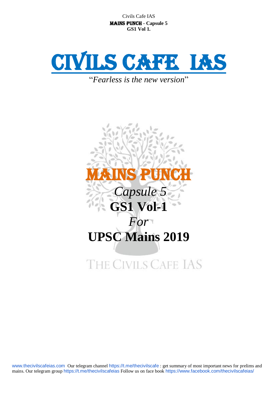

"*Fearless is the new version*"

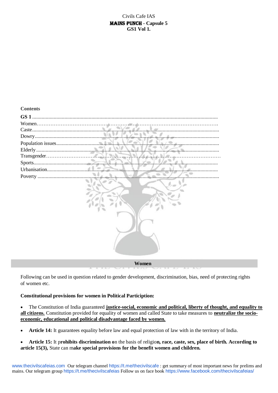**Contents**



**Women**

Following can be used in question related to gender development, discrimination, bias, need of protecting rights of women etc.

#### **Constitutional provisions for women in Political Particiption:**

 The Constitution of India guaranteed **justice-social, economic and political, liberty of thought, and equality to all citizens.** Constitution provided for equality of women and called State to take measures to **neutralize the socioeconomic, educational and political disadvantage faced by women.**

- **Article 14:** It guarantees equality before law and equal protection of law with in the territory of India.
- **Article 15:** It p**rohibits discrimination o**n the basis of religio**n, race, caste, sex, place of birth. According to article 15(3),** State can m**ake special provisions for the benefit women and children.**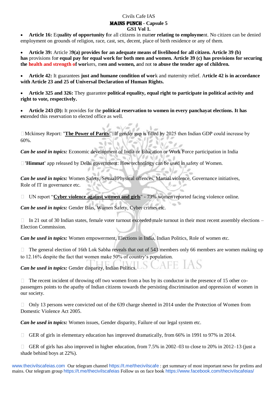**Article 16:** Eq**uality of opportunity f**or all citizens in matt**er relating to employme**nt. No citizen can be denied employment on grounds of religion, race, cast, sex, decent, place of birth residence or any of them.

 **Article 39:** Article 3**9(a) provides for an adequate means of livelihood for all citizen. Article 39 (b) has** provisions fo**r equal pay for equal work for both men and women. Article 39 (c) has provisions for securing the health and strength of wor**kers, m**en and women, a**nd not t**o abuse the tender age of children.**

 **Article 42:** It guarantees **just and humane condition of wor**k and maternity relief. A**rticle 42 is in accordance with Article 23 and 25 of Universal Declaration of Human Rights.**

 **Article 325 and 326:** They guarantee **political equality, equal right to participate in political activity and right to vote, respectively.**

 **Article 243 (D):** It provides for the **political reservation to women in every panchayat elections. It has ex**tended this reservation to elected office as well.

Mckinsey Report: "**The Power of Parity**": If gender gap is filled by 2025 then Indian GDP could increase by 60%.

*Can be used in topics:* Economic development of India or Education or Work Force participation in India

**'Himmat'** app released by Delhi government: How technology can be used in safety of Women.

*Can be used in topics:* Women Safety, Sexual/Physical offences, Martial violence, Governance initiatives, Role of IT in governance etc.

□ UN report "**Cyber violence against women and girls**" - 73% women reported facing violence online.

*Can be used in topics:* Gender Bias, Women Safety, Cyber crimes etc.

In 21 out of 30 Indian states, female voter turnout exceeded male turnout in their most recent assembly elections –  $\Box$ Election Commission.

*Can be used in topics:* Women empowerment, Elections in India, Indian Politics, Role of women etc.

The general election of 16th Lok Sabha reveals that out of 543 members only 66 members are women making up  $\Box$ to 12.16% despite the fact that women make 50% of country's population.

JAFE IAS *Can be used in topics:* Gender disparity, Indian Politics.

The recent incident of throwing off two women from a bus by its conductor in the presence of 15 other copassengers points to the apathy of Indian citizens towards the persisting discrimination and oppression of women in our society.

 $\Box$  Only 13 persons were convicted out of the 639 charge sheeted in 2014 under the Protection of Women from Domestic Violence Act 2005.

*Can be used in topics:* Women issues, Gender disparity, Failure of our legal system etc.

 $\Box$ GER of girls in elementary education has improved dramatically, from 66% in 1991 to 97% in 2014.

GER of girls has also improved in higher education, from 7.5% in 2002–03 to close to 20% in 2012–13 (just a shade behind boys at 22%).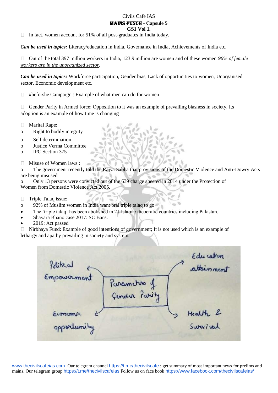### Civils Cafe IAS

### Mains Punch **- Capsule 5**

**GS1 Vol 1.**

 $\Box$ In fact, women account for 51% of all post-graduates in India today.

*Can be used in topics:* Literacy/education in India, Governance in India, Achievements of India etc.

Out of the total 397 million workers in India, 123.9 million are women and of these women *96% of female*   $\Box$ *workers are in the unorganized sector*.

*Can be used in topics:* Workforce participation, Gender bias, Lack of opportunities to women, Unorganised sector, Economic development etc.

#heforshe Campaign : Example of what men can do for women  $\Box$ 

 $\Box$ Gender Parity in Armed force: Opposition to it was an example of prevailing biasness in society. Its adoption is an example of how time is changing

- $\Box$ Marital Rape:
- o Right to bodily integrity
- o Self determination
- o Justice Verma Committee
- o IPC Section 375
- Misuse of Women laws :  $\Box$

o The government recently told the Rajya Sabha that provisions of the Domestic Violence and Anti-Dowry Acts are being misused

o Only 13 persons were convicted out of the 639 charge sheeted in 2014 under the Protection of Women from Domestic Violence Act 2005.

- $\Box$ Triple Talaq issue:
- o 92% of Muslim women in India want oral triple talaq to go
- The 'triple talaq' has been abolished in 21 Islamic theocratic countries including Pakistan.
- Shayara Bhano case 2017: SC Bans.
- 2019: Act passed

 $\Box$  Nirbhaya Fund: Example of good intentions of government; It is not used which is an example of lethargy and apathy prevailing in society and system.

Edu cation<br>attainment *Political* Parametro of<br>Gender Parity Health &<br>Swarival Economi opportunity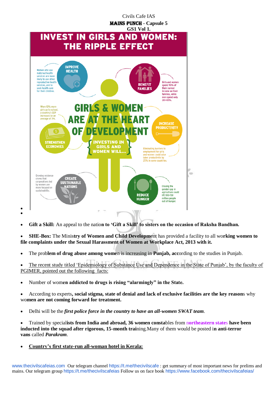

**Gift a Skill:** An appeal to the natio**n to 'Gift a Skill' to sisters on the occasion of Raksha Bandhan.**

 **SHE-Box:** The Minis**try of Women and Child Developm**ent has provided a facility to all wo**rking women to file complaints under the Sexual Harassment of Women at Workplace Act, 2013 with it.**

The prob**lem of drug abuse among wome**n is increasing in **Punjab, acc**ording to the studies in Punjab.

 The recent study titled 'Epidemiology of Substance Use and Dependence in the State of Punjab', by the faculty of PGIMER, pointed out the following facts:

Number of wom**en addicted to drugs is rising "alarmingly" in the State.**

 According to experts**, social stigma, state of denial and lack of exclusive facilities are the key reason**s why wo**men are not coming forward for treatment.**

Delhi will be the *first police force in the country to have an all-women SWAT team*.

 Trained by special**ists from India and abroad, 36 women consta**bles from n**ortheastern state**s **have been inducted into the squad after rigorous, 15-month trai**ning.Many of them would be posted i**n anti-terror vans** called *Parakram*.

**Country's first state-run all-woman hotel in Kerala:**

 $\bullet$  $\bullet$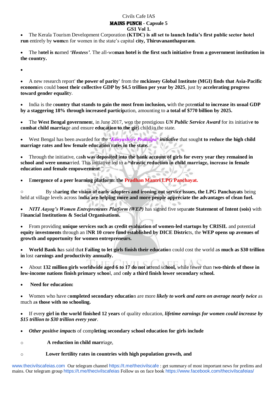## Civils Cafe IAS

#### Mains Punch **- Capsule 5 GS1 Vol 1.**

 The Kerala Tourism Development Corporation **(KTDC) is all set to launch India's first public sector hotel run** entirely by **wom**en for women in the state's capital **city, Thiruvananthapuram**.

 The h**otel is n**amed *'Hostess'*. The all-wo**man hotel is the first such initiative from a government institution in the country.**

 $\bullet$ 

 A new research report' **the power of parity'** from the **mckinsey Global Institute (MGI) finds that Asia-Pacific econom**ies could b**oost their collective GDP by \$4.5 trillion per year by 2025**, just by **accelerating progress toward gender equalit**y.

 India is the c**ountry that stands to gain the most from inclusion, w**ith the pote**ntial to increase its usual GDP by a staggering 18% through increased particip**ation, amounting to **a total of \$770 billion by 2025.**

 The **West Bengal governmen**t, in June 2017, won the prestigious *UN Public Service Award* for its initiativ**e to combat child marria**ge and ensure **education to the gir**l child in the state.

 West Bengal has been awarded for the *'Kanyashree Prakalpa' initiative* that sough**t to reduce the high child marriage rates and low female education rates in the state.** l a

 $m, h$ 

**STATISTICS** 

 Through the initiative, ca**sh was deposited into the bank account of girls for every year they remained in school and were unma**rried. This initiative led to a **"drastic reduction in child marriage, increase in female education and female empowerment**."

E**mergence of a peer learning platform**: **the Pradhan Mantri LPG Panchayat.**

o By sh**aring the vision of early adopters and ironing out service issues, the LPG Panchayats** being held at village levels across I**ndia are helping more and more people appreciate the advantages of clean fuel.**

 *NITI Aayog's Women Entrepreneurs Platform (WEP)* has signed five separ**ate Statement of Intent (sois)** with F**inancial Institutions & Social Organisations.**

 From providing **unique services such as credit evaluation of women-led startups by CRISIL** and potentia**l equity investments** through an I**NR 10 crore fund established by DICE Distric**ts, the **WEP opens up avenues of growth and opportunity for women entrepreneurs.**

 **World Bank h**as said tha**t Failing to let girls finish their educatio**n could cost the world a**s much as \$30 trillion in** lost e**arnings and productivity annually.**

 About **132 million girls worldwide aged 6 to 17 do not at**tend sc**hool,** while fewer than t**wo-thirds of those in low-income nations finish primary schoo**l, and o**nly a third finish lower secondary school.**

**Need for education:**

 Women who have c**ompleted secondary educatio**n are more *likely to work and earn on average nearly twice* as much a**s those with no schooling.**

 If ever**y girl in the world finished 12 years** of quality education, *lifetime earnings for women could increase by \$15 trillion to \$30 trillion every year*.

*Other positive impacts* of comp**leting secondary school education for girls include**

o **A reduction in child marr**iage,

#### o **Lower fertility rates in countries with high population growth, and**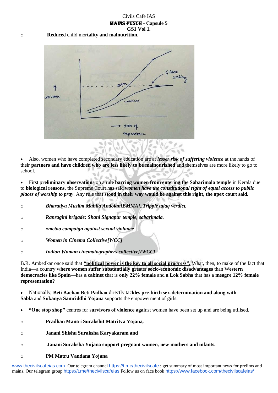o **Reduce**d child mor**tality and malnutrition**.



 Also, women who have completed secondary education are at *lesser risk of suffering violence* at the hands of their **partners and have children who are less likely to be malnourished** and themselves are more likely to go to school.

 First p**reliminary observation**s on a ru**le barring women from entering the Sabarimala templ**e in Kerala due to **biological reasons**, the Supreme Court has said *women have the constitutional right of equal access to public places of worship to pray*. Any rule tha**t stood in their way would be against this right, the apex court said.**

- o *Bharatiya Muslim Mahila Andolan[BMMA]..Tripple talaq verdict.*
- o *Ranragini brigade; Shani Signapur temple, sabarimala.*
- o *#metoo campaign against sexual violance*
- o *Women in Cinema Collective[WCC]*
- o *Indian Woman cinematographers collective[IWCC]*

B.R. Ambedkar once said that **"political power is the key to all social progress".** What, then, to make of the fact that India—a country w**here women suffer substantially gre**ater **socio-economic disadvantages** than W**estern democracies like Spain**—has **a cabinet t**hat is **only 22% female** and **a Lok Sabh**a that has a **meagre 12% female representation?**

 Nationally, **Beti Bachao Beti Padhao** directly tac**kles pre-birth sex-determination and along with Sabla** and **Sukanya Samriddhi Yojan**a supports the empowerment of girls.

- **"One stop shop"** centres for s**urvivors of violence aga**inst women have been set up and are being utilised.
- o **Pradhan Mantri Surakshit Matritva Yojana,**
- o **Janani Shishu Suraksha Karyakaram and**
- o **Janani Suraksha Yojana support pregnant women, new mothers and infants.**
- o **PM Matru Vandana Yojana**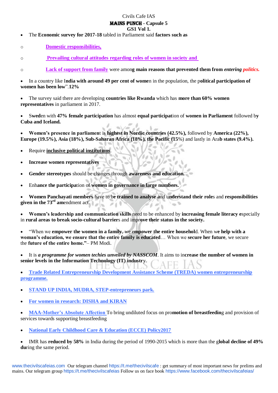#### Civils Cafe IAS Mains Punch **- Capsule 5**

### **GS1 Vol 1.**

The **Economic survey for 2017-18** tabled in Parliament said **factors such as**

o **Domestic responsibilities,**

o **Prevailing cultural attitudes regarding roles of women in society and**

o **Lack of support from family** were amon**g main reasons that prevented them from** *entering politics.*

 In a country like I**ndia with around 49 per cent of wome**n in the population, the p**olitical participation of women has been low**".**12%**

 The survey said there are developing **countries like Rwanda** which has **more than 60% women representatives** in parliament in 2017.

 S**wed**en with **47% female participation** has almost **equal participat**ion of **women in Parliament** followed b**y Cuba and Iceland.**

 **Women's presence in parliamen**t is **highest in Nordic countries (42.5%),** followed by **America (22%), Europe (19.5%), Asia (18%), Sub-Saharan Africa (18%), the Pacific (15**%) and lastly in Ara**b states (9.4%).**

- Require **inclusive political institutions**.
- **Increase women representatives**
- **Gender stereotypes** should be changes through **awareness and education.**
- Enh**ance the participa**tion of **women in governance in large numbers.**

 **Women Panchayati members** have to b**e trained to analyse a**nd u**nderstand their role**s and **responsibilities given in the 73rd am**endment act.

 **Women's leadership and communication skills** need to be enhanced by **increasing female literacy e**specially in **rural areas to break socio-cultural barrier**s and impr**ove their status in the society.**

 "When we **empower the women in a family**, we e**mpower the entire househol**d. When w**e help with a woman's education, we ensure that the entire family is educated**… When we **secure her future**, we secure the **future of the entire home."**– PM Modi.

 It is *a programme for women techies unveiled by NASSCOM*. It aims to in**crease the number of women in senior levels in the Information Technology (IT) industr**y.

 **Trade Related Entrepreneurship Development Assistance Scheme (TREDA) women entrepreneurship programme.**

**STAND UP INDIA, MUDRA, STEP-entrepreneurs park.**

**For women in research: DISHA and KIRAN**

 **MAA-Mother's Absolute Affection** To bring undiluted focus on pro**motion of breastfeedin**g and provision of services towards supporting breastfeeding

**National Early Childhood Care & Education (ECCE) Policy2017**

 IMR has **reduced by 58%** in India during the period of 1990-2015 which is more than the g**lobal decline of 49% du**ring the same period.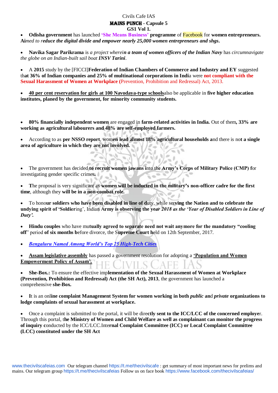**Odisha government** has launched **'She Means Business' programme** of Facebook for **women entrepreneurs. Ai***med to reduce the digital divide and empower nearly 25,000 women entrepreneurs and shgs***.**

 **Navika Sagar Parikrama** is *a project wherein a team of women officers of the Indian Navy* has *circumnavigate the globe on an Indian-built sail boat INSV Tarini*.

 A **2015** study by the [FICCI]**Federation of Indian Chambers of Commerce and Industry and EY** suggested th**at 36% of Indian companies and 25% of multinational corporations in Indi**a were **not compliant with the Sexual Harassment of Women at Workplace (**Prevention, Prohibition and Redressal) Act, 2013.

 **40 per cent reservation for girls at 100 Navodaya-type schools**also be applicable in **five higher education institutes, planed by the government, for minority community students.**

 **80% financially independent women** are engaged in **farm-related activities in India.** Out of them**, 33% are working as agricultural labourers and 48% are self-employed farmers.**

 According to as **per NSSO report**, wom**en lead almost 18% agricultural households a**nd there is no**t a single area of agriculture in which they are not involved.**

 The government has decided **to recruit women jawans i**nto th**e Army's Corps of Military Police (CMP) f**or investigating gender specific crimes**.**

 **T**he proposal is very significant as **women will be inducted in the military's non-officer cadre for the first time**, although they **will be in a non-combat role.**

 To hono**ur soldiers who have been disabled in line of d**uty, while ser**ving the Nation and to celebrate the undying spirit of 'Soldier**ing', Indian A**rmy is observing the ye***ar 2018 as the 'Year of Disabled Soldiers in Line of Duty'.*

 **Hindu couples** who have mu**tually agreed to separate need not wait anymore for the mandatory "cooling off**" period **of six months b**efore divorce, the S**upreme Court h**eld on 12th September, 2017.

*Bengaluru Named Among World's Top 25 High-Tech Cities*

 **Assam legislative assembly** has passed a government resolution for adopting a **'Population and Women Empowerment Policy of Assam'.**

 **She-Box.:** To ensure the effective imp**lementation of the Sexual Harassment of Women at Workplace (Prevention, Prohibition and Redressal) Act (the SH Act), 2013**, the government has launched a comprehensive **she-Box.**

 **I**t is an onl**ine complaint Management System for women working in both** *public* **an**d *private* **organizations to lodge complaints of sexual harassment at workplace.**

 Once a complaint is submitted to the portal, it will be dire**ctly sent to the ICC/LCC of the concerned employe**r. Through this portal, t**he Ministry of Women and Child Welfare as well as complainant can monitor the progress of inquiry c**onducted by the ICC/LCC.Inte**rnal Complaint Committee (ICC) or Local Complaint Committee (LCC) constituted under the SH Act**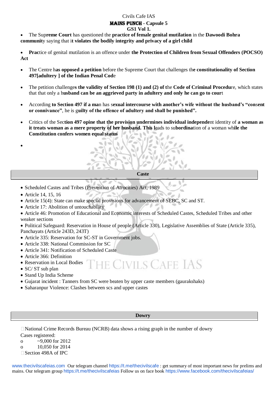#### Civils Cafe IAS

### Mains Punch **- Capsule 5**

**GS1 Vol 1.**

 The Sup**reme Court** has questioned the **practice of female genital mutilation** in the **Dawoodi Bohra communit**y saying that i**t violates the bodily integrity and privacy of a girl child**

 **Prac**tice of genital mutilation is an offence under **the Protection of Children from Sexual Offenders (POCSO) Act**

- The Centre h**as opposed a petition** before the Supreme Court that challenges th**e constitutionality of Section 497[adultery ] of the Indian Penal Cod**e
- The petition challenge**s the validity of Section 198 (1) and (2) of t**he **Code of Criminal Procedu**re, which states that that only a h**usband can be an aggrieved party in adultery and only he can go to cour**t
- According **to Section 497 if a ma**n has s**exual intercourse with another's wife without the husband's "con**s**ent or connivance"**, he is g**uilty of the offence of adultery and shall be punished".**
- Critics of the Sec**tion 497 opine that the provision undermines individual independe**nt identity of **a woman as it treats woman as a mere property of her husband. This l**eads to su**bordina**tion of a woman wh**ile the Constitution confers women equal status**
- $\bullet$

#### **Caste**

- Scheduled Castes and Tribes (Prevention of Atrocities) Act, 1989
- Article 14, 15, 16
- Article 15(4): State can make special provisions for advancement of SEBC, SC and ST.
- Article 17: Abolition of untouchability
- Article 46: Promotion of Educational and Economic interests of Scheduled Castes, Scheduled Tribes and other weaker sections
- Political Safeguard: Reservation in House of people (Article 330), Legislative Assemblies of State (Article 335), Panchayats (Article 243D, 243T)
- Article 335: Reservation for SC-ST in Government jobs.
- Article 338: National Commission for SC
- Article 341: Notification of Scheduled Caste
- Article 366: Definition
- Reservation in Local Bodies
- HE CIVILS CAFE IAS • SC/ ST sub plan
- Stand Up India Scheme
- Gujarat incident : Tanners from SC were beaten by upper caste members (gaurakshaks)
- Saharanpur Violence: Clashes between scs and upper castes

#### **Dowry**

 $\Box$  National Crime Records Bureau (NCRB) data shows a rising graph in the number of dowry Cases registered: o  $\sim$  9.000 for 2012 o 10,050 for 2014 □ Section 498A of IPC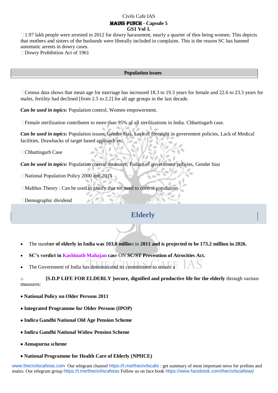$\Box$  1.97 lakh people were arrested in 2012 for dowry harassment, nearly a quarter of thos being women. This depicts that mothers and sisters of the husbands were liberally included in complains. This is the reason SC has banned automatic arrests in dowry cases.

□Dowry Prohibition Act of 1961

#### **Population issues**

Census data shows that mean age for marriage has increased 18.3 to 19.3 years for female and 22.6 to 23.3 years for males, fertility had declined [from 2.5 to 2.2] for all age groups in the last decade.

*Can be used in topics:* Population control, Women empowerment.

Female sterilization contributes to more than 95% of all sterilizations in India. Chhattisgarh case.

*Can be used in topics:* Population issues, Gender bias, Lack of foresight in government policies, Lack of Medical facilities, Drawbacks of target based approach etc.

Chhattisgarh Case

*Can be used in topics:* Population control measures, Failure of government policies, Gender bias

National Population Policy 2000 and 2015

Malthus Theory : Can be used to justify that we need to control population

Demographic dividend

### **Elderly**

- The numb**er of elderly in India was 103.8 millio**n in **2011 and is projected to be 173.2 million in 2026.**
- **SC's verdict in Kashinath Mahajan cas**e ON **SC/ST Prevention of Atrocities Act.**
- The Government of India has demonstrated its commitment to ensure a

o **[S.D.P LIFE FOR ELDERLY ]secure, dignified and productive life for the elderly** through various measures:

- **National Policy on Older Persons 2011**
- **Integrated Programme for Older Persons (IPOP)**
- **Indira Gandhi National Old Age Pension Scheme**
- **Indira Gandhi National Widow Pension Scheme**
- **Annapurna scheme**
- **National Programme for Health Care of Elderly (NPHCE)**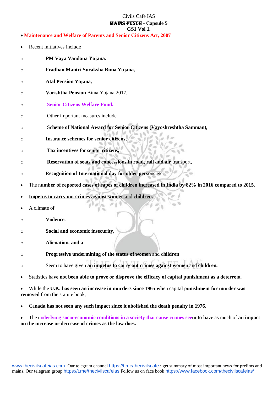- **Maintenance and Welfare of Parents and Senior Citizens Act, 2007**
- Recent initiatives include
- o **PM Vaya Vandana Yojana.**
- o P**radhan Mantri Suraksha Bima Yojana,**
- o **Atal Pension Yojana,**
- o **Varishtha Pension** Bima Yojana 2017,
- o S**enior Citizens Welfare Fund.**
- o Other important measures include
- o Sc**heme of National Award for Senior Citizens (Vayoshreshtha Samman),**
- o **In**suran**ce schemes for senior citizens,**
- o **Tax incentives** for se**nior citizens,**
- o **Reservation of seats and concessions in road, rail and air** transport,
- o R**ecognition of International day for older per**sons etc.
- The n**umber of reported cases of rapes of children increased in India by 82% in 2016 compared to 2015.**
- **Impetus to carry out crimes against wome**n and **children.**
- A climate of
- o **Violence,**
- o **Social and economic insecurity,**
- o **Alienation, and a**
- o **Progressive undermining of the status of wome**n and c**hildren**
- o Seem to have given **an impetus to carry out crimes against wome**n and **children.**
- Statistics ha**ve not been able to prove or disprove the efficacy of capital punishment as a deterre**nt.
- While the **U.K. has seen an increase in murders since 1965 wh**en capital p**unishment for murder was removed from the statute book.**
- Ca**nada has not seen any such impact since it abolished the death penalty in 1976.**
- The und**erlying socio-economic conditions in a society that cause crimes seem to h**ave as much of **an impact on the increase or decrease of crimes as the law does.**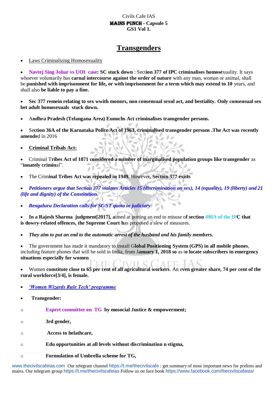## **Transgenders**

Laws Criminalizing Homosexuality

 **Navtej Sing Johar vs UOI case: SC stuck down** : Sect**ion 377 of IPC criminalises homose**xuality. It says whoever voluntarily has **carnal intercourse against the order of nature** with any man, woman or animal, shall be **punished with imprisonment for life, or with imprisonment for a term which may extend to 10** years, and shall also **be liable to pay a fine.**

 **Sec 377 remein relating to sex wwith monors, non consensual sexul act, and bestiality. Only consensual sex bet adult homosexuals stuck down.**

A**ndhra Pradesh (Telangana Area) Eunuchs Act criminalises transgender persons.**

 Se**ction 36A of the Karnataka Police Act of 1963, criminalised transgender persons .The Act was recently amende**d in 2016

**Criminal Tribals Act:**

 Criminal T**ribes Act of 1871 considered a number of marginalised population groups like transgender** as "**innately crimin**al".

The Crim**inal Tribes Act was repealed in 1949.** However, S**ection 377 exists**

 *Petitioners argue that Section 377 violates Articles 15 (discrimination on sex), 14 (equality), 19 (liberty) and 21 (life and dignity) of the Constitution.*

*Bengaluru Declaration calls for SC/ST quota in judiciary*

 **In a Rajesh Sharma judgment[2017], a**imed at putting an end to misuse o**f section 498A of the IPC that is dowry-related offences, the Supreme Court h**as proposed a slew of measures.

*They aim to put an end to the automatic arrest of the husband and his family members.*

 The government has made it mandatory to install G**lobal Positioning System (GPS) in all mobile phones**, including feature phones that will be sold in India, from J**anuary 1, 2018 so** as t**o locate subscribers in emergency situations especially for women**

 Women **constitute close to 65 per cent of all agricultural workers**. An e**ven greater share, 74 per cent of the rural workforce[3/4], is female.**

- *'Women Wizards Rule Tech' programme*
- **Transgender:**
- o **Expert committee on TG by mosocial Justice & empowerment;**
- o **3rd gender,**
- o **Access to helathcare,**
- o **Edu opportunities at all levels without discrimination n stigma,**
- o **Formulation of Umbrella scheme for TG,**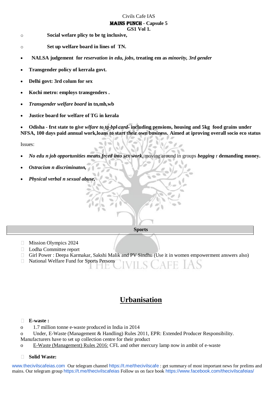#### Civils Cafe IAS Mains Punch **- Capsule 5**

- **GS1 Vol 1.**
- o **Social wefare plicy to be tg inclusive,**
- o **Set up welfare board in lines of TN.**
- **NALSA judgement for** *reservation in edu, jobs***, treating em as** *minority, 3rd gender*
- **Transgender policy of kerrala govt.**
- **Delhi govt: 3rd colum for sex**
- **Kochi metro: employs transgenders .**
- *Transgender welfare board* **in tn,mh,wb**
- **Justice board for welfare of TG in kerala**

 **Odisha - frst state to g***ive wlfare to tg-bpl card-* **including pensions, housing and 5kg food grains under NFSA, 100 days paid annual work,loans to start their own business. Aimed at iproving overall socio eco status**

Issues:

- *No edu n job opportunities means frced into sex work*, moving around in groups *begging* r **demanding money.**
- *Ostracism n discriminaton,*
- *Physical verbal n sexual abuse,*

**Sports**

- $\Box$  Mission Olympics 2024
- □ Lodha Committee report
- Girl Power : Deepa Karmakar, Sakshi Malik and PV Sindhu (Use it in women empowerment answers also)  $\Box$
- $\Box$ National Welfare Fund for Sports Persons

## **Urbanisation**

#### $\Box$ **E-waste :**

- o 1.7 million tonne e-waste produced in India in 2014
- o Under, E-Waste (Management & Handling) Rules 2011, EPR: Extended Producer Responsibility.
- Manufacturers have to set up collection centre for their product
- o E-Waste (Management) Rules 2016: CFL and other mercury lamp now in ambit of e-waste

#### **Solid Waste:** $\Box$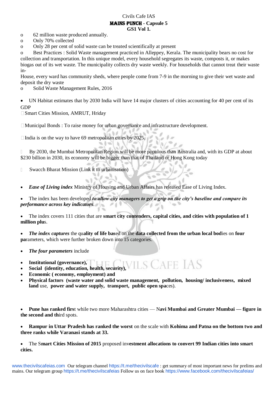- o 62 million waste produced annually.
- o Only 70% collected

o Only 28 per cent of solid waste can be treated scientifically at present

o Best Practices : Solid Waste management practiced in Alleppey, Kerala. The municipality bears no cost for collection and transportation. In this unique model, every household segregates its waste, composts it, or makes biogas out of its wet waste. The municipality collects dry waste weekly. For households that cannot treat their waste in-

House, every ward has community sheds, where people come from 7-9 in the morning to give their wet waste and deposit the dry waste

o Solid Waste Management Rules, 2016

 UN Habitat estimates that by 2030 India will have 14 major clusters of cities accounting for 40 per cent of its GDP

Smart Cities Mission, AMRUT, Hriday

Municipal Bonds : To raise money for urban governance and infrastructure development.

 $6d$  $\Box$  India is on the way to have 69 metropolitan cities by 2025.

By 2030, the Mumbai Metropolitan Region will be more populous than Australia and, with its GDP at about \$230 billion in 2030, its economy will be bigger than that of Thailand or Hong Kong today

 $\hfill\Box$ Swacch Bharat Mission (Link it to urbanisation)

*Ease of Living index* Ministry of Housing and Urban Affairs has released Ease of Living Index.

 The index has been developed *to allow city managers to get a grip on the city's baseline and compare its performance across key indicators*.

 The index covers 111 cities that are **smart city contenders, capital cities, and cities with population of 1 million plu**s.

 *The index captures* the qu**ality of life bas**ed on the **data collected from the urban local bod**ies on **four pa**rameters, which were further broken down into 15 categories.

- *The four parameters* include
- **Institutional (governance),**
- **Social (identity, education, health, security),**
- **Economic ( economy, employment) and**
- **Physical factors (waste water and solid waste management, pollution, housing/ inclusiveness, mixed land** use, **power and water supply, transport, public open spa**ces).

 **Pune has ranked firs**t while two more Maharashtra cities — N**avi Mumbai and Greater Mumbai — figure in the second and th**ird spots.

 **Rampur in Uttar Pradesh has ranked the worst** on the scale with **Kohima and Patna on the bottom two and three ranks while Varanasi stands at 33.**

 The S**mart Cities Mission of 2015** proposed inv**estment allocations to convert 99 Indian cities into smart cities.**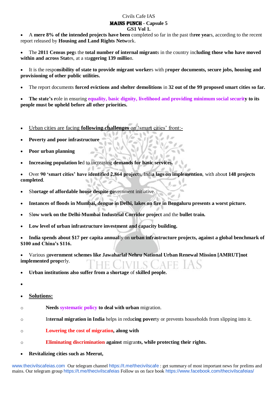A **mere 8% of the intended projects have been** completed so far in the past th**ree yea**rs, according to the recent report released by **Housing and Land Rights Netw**ork.

 The **2011 Census peg**s the **total number of internal migrant**s in the country inc**luding those who have moved within and across Stat**es, at a sta**ggering 139 millio**n.

 It is the respo**nsibility of state to provide migrant worker**s with p**roper documents, secure jobs, housing and provisioning of other public utilities.**

The report documents **forced evictions and shelter demolitions** in **32 out of the 99 proposed smart cities so far.** 

 **The state's r**ole in ensuring **equality, basic dignity, livelihood and providing minimum social security to its people must be upheld before all other priorities.**

- Urban cities are facing **following challenges** on 'smart cities' front:-
- **Poverty and poor infrastructure**
- **Poor urban planning**
- **Increasing population le**d to increasing **demands for basic services.**

 Over **90 'smart cities' have identified 2,864 project**s, Indi**a lags on implemention**, with abou**t 148 projects completed**.

- Sh**ortage of affordable house despite go**vernment initiative.
- **Instances of floods in Mumbai, dengue in Delhi, lakes on fire in Bengaluru presents a worst picture.**
- Sl**ow work on the Delhi-Mumbai Industrial Corridor project** and the **bullet train.**
- **Low level of urban infrastructure investment and capacity building.**

 **India spends about \$17 per capita annual**ly on **urban infrastructure projects, against a global benchmark of \$100 and China's \$116.**

 Various g**overnment schemes like Jawaharlal Nehru National Urban Renewal Mission [AMRUT]not implemented prop**erly.

- **Urban institutions also suffer from a shortage** of **skilled people.**
- $\bullet$
- **Solutions:**
- o **Needs systematic policy to deal with urban** migration.
- o In**ternal migration in India** helps in redu**cing pover**ty or prevents households from slipping into it.
- o **Lowering the cost of migration, along with**
- o **Eliminating discrimination against** migran**ts, while protecting their rights.**
- **Revitalizing cities such as Meerut,**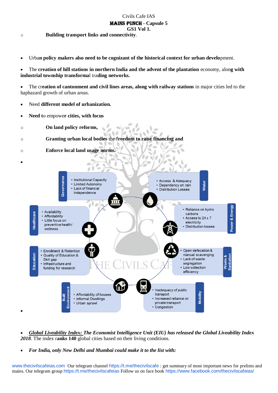#### Civils Cafe IAS Mains Punch **- Capsule 5**

**GS1 Vol 1.**

o **Building transport links and connectivity**.

Urba**n policy makers also need to be cognizant of the historical context for urban develo**pment.

 The **creation of hill stations in northern India and the advent of the plantation** economy, alon**g with industrial township transforma**l tra**ding networks.**

 The cr**eation of cantonment and civil lines areas, along with railway stations** in major cities led to the haphazard growth of urban areas.

 $\overline{a}$ 

 $\overline{a}$ ä

- Need **different model of urbanization.**
- **Need t**o empowe**r cities, with focus**
- o **On land policy reforms,**

o **Granting urban local bodies** the f**reedom to raise financing and**

h.

o **Enforce local land usage norms.**

Governance • Institutional Capacity • Access & Adequacy **Water** • Limited Autonomy • Dependency on rain  $\cdot$  Lack of financial • Distribution Losses independence Power & Energy • Reliance on hydro • Availability **Healthcare** carbons • Affordability Access to 24 x 7 • Little focus on electricity preventive health/ · Distribution losses .<br>wellness Open defecation & • Enrollment & Retention manual scavenging Education · Quality of Education & Lack of waste Skill gap segregation • Infrastructure and funding for research • Low collection efficiency Inadequacy of public **Mobility** transport • Affordability of houses Built rironm • Informal Dwellings Increased reliance on • Urban sprawl private transport ć • Congestion

- *Global Liveability Index: The Economist Intelligence Unit (EIU) has released the Global Liveability Index 2018*. The index r**anks 140** global cities based on their living conditions.
- *For India, only New Delhi and Mumbai could make it to the list with:*

www.thecivilscafeias.com Our telegram channel https://t.me/thecivilscafe : get summary of most important news for prelims and mains. Our telegram group https://t.me/thecivilscafeias Follow us on face book https://www.facebook.com/thecivilscafeias/



 $\bullet$ 

 $\bullet$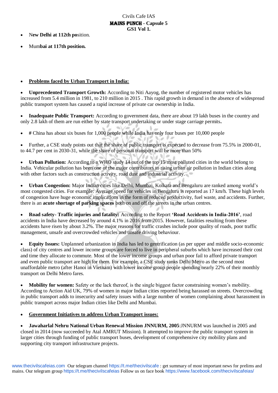N**ew Delhi at 112th po**sition.

Mum**bai at 117th position.**

#### **Problems faced by Urban Transport in India:**

 **Unprecedented Transport Growth:** According to Niti Aayog, the number of registered motor vehicles has increased from 5.4 million in 1981, to 210 million in 2015 . This rapid growth in demand in the absence of widespread public transport system has caused a rapid increase of private car ownership in India.

 **Inadequate Public Transport:** According to government data, there are about 19 lakh buses in the country and only 2.8 lakh of them are run either by state transport undertaking or under stage carriage permits**.**

**#** China has about six buses for 1,000 people while India has only four buses per 10,000 people

 Further, a CSE study points out that the share of public transport is expected to decrease from 75.5% in 2000-01, to 44.7 per cent in 2030-31, while the share of personal transport will be more than 50%

 **Urban Pollution:** According to a WHO study 14 out of the top 15 most polluted cities in the world belong to India. Vehicular pollution has been one of the major contributors to rising urban air pollution in Indian cities along with other factors such as construction activity, road dust and industrial activity.

 **Urban Congestion:** Major Indian cities like Delhi, Mumbai, Kolkata and Bengaluru are ranked among world's most congested cities. For example: Average speed for vehicles in Bengaluru is reported as 17 km/h. These high levels of congestion have huge economic implications in the form of reduced productivity, fuel waste, and accidents. Further, there is an **acute shortage of parking spaces** both on and off the streets in the urban centres.

 **Road safety- Traffic injuries and fatality:** According to the Report **'Road Accidents in India-2016'**, road accidents in India have decreased by around 4.1% in 2016 from 2015. However, fatalities resulting from these accidents have risen by about 3.2%. The major reasons for traffic crashes include poor quality of roads, poor traffic management, unsafe and overcrowded vehicles and unsafe driving behaviour.

 **Equity Issues:** Unplanned urbanization in India has led to gentrification (as per upper and middle socio-economic class) of city centres and lower income groups are forced to live in peripheral suburbs which have increased their cost and time they allocate to commute. Most of the lower income groups and urban poor fail to afford private transport and even public transport are high for them. For example, a CSE study ranks Delhi Metro as the second most unaffordable metro (after Hanoi in Vietnam) with lower income group people spending nearly 22% of their monthly transport on Delhi Metro fares.

 **Mobility for women:** Safety or the lack thereof, is the single biggest factor constraining women's mobility. According to Action Aid UK, 79% of women in major Indian cities reported being harassed on streets. Overcrowding in public transport adds to insecurity and safety issues with a large number of women complaining about harassment in public transport across major Indian cities like Delhi and Mumbai.

**Government Initiatives to address Urban Transport issues:**

 **Jawaharlal Nehru National Urban Renewal Mission JNNURM, 2005**:JNNURM was launched in 2005 and closed in 2014 (now succeeded by Atal AMRUT Mission). It attempted to improve the public transport system in larger cities through funding of public transport buses, development of comprehensive city mobility plans and supporting city transport infrastructure projects.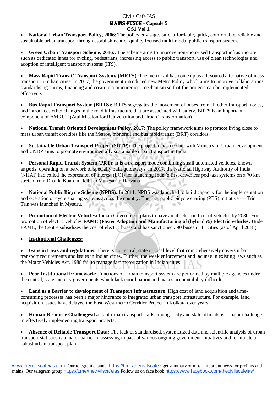**National Urban Transport Policy, 2006**: The policy envisages safe, affordable, quick, comfortable, reliable and sustainable urban transport through establishment of quality focused multi-modal public transport systems.

 **Green Urban Transport Scheme, 2016:**. The scheme aims to improve non-motorised transport infrastructure such as dedicated lanes for cycling, pedestrians, increasing access to public transport, use of clean technologies and adoption of intelligent transport systems (ITS).

 **Mass Rapid Transit/ Transport Systems (MRTS**): The metro rail has come up as a favoured alternative of mass transport in Indian cities. In 2017, the government introduced new Metro Policy which aims to improve collaborations, standardising norms, financing and creating a procurement mechanism so that the projects can be implemented effectively.

 **Bus Rapid Transport System (BRTS):** BRTS segregates the movement of buses from all other transport modes, and introduces other changes in the road infrastructure that are associated with safety. BRTS is an important component of AMRUT (Atal Mission for Rejuvenation and Urban Transformation)

 **National Transit Oriented Development Policy, 2017:** The policy framework aims to promote living close to mass urban transit corridors like the Metros, monorail and bus rapid transit (BRT) corridors.

 **Sustainable Urban Transport Project (SUTP):** The project in partnership with Ministry of Urban Development and UNDP aims to promote environmentally sustainable urban transport in India.

 **Personal Rapid Transit System (PRT):** It is a transport mode combining small automated vehicles, known as **pods**, operating on a network of specially built guideways. In 2017, the National Highway Authority of India (NHAI) had called the expression of interest (EOI) for launching India's first driverless pod taxi systems on a 70 km stretch from Dhaula Kuan in Delhi to Manesar in Haryana

• National Public Bicycle Scheme (NPBS): In 2011, NPBS was launched to build capacity for the implementation and operation of cycle sharing systems across the country. The first public bicycle sharing (PBS) initiative — Trin Trin was launched in Mysuru.  $-7$ 

 **Promotion of Electric Vehicles:** Indian Government plans to have an all-electric fleet of vehicles by 2030. For promotion of electric vehicles **FAME (Faster Adoption and Manufacturing of (hybrid &) Electric vehicles.** Under FAME, the Centre subsidizes the cost of electric buses and has sanctioned 390 buses in 11 cities (as of April 2018).

**Institutional Challenges:**

 **Gaps in Laws and regulations:** There is no central, state or local level that comprehensively covers urban transport requirements and issues in Indian cities. Further, the weak enforcement and lacunae in existing laws such as the Motor Vehicles Act, 1988 fail to manage fast motorization in Indian cities

**Poor Institutional Framework:** Functions of Urban transport system are performed by multiple agencies under the central, state and city governments which lack coordination and makes accountability difficult.

 **Land as a Barrier to development of Transport Infrastructure**: High cost of land acquisition and timeconsuming processes has been a major hindrance to integrated urban transport infrastructure. For example, land acquisition issues have delayed the East-West metro Corridor Project in Kolkata over years.

 **Human Resource Challenges:**Lack of urban transport skills amongst city and state officials is a major challenge in effectively implementing transport projects.

 **Absence of Reliable Transport Data:** The lack of standardised, systematized data and scientific analysis of urban transport statistics is a major barrier in assessing impact of various ongoing government initiatives and formulate a robust urban transport plan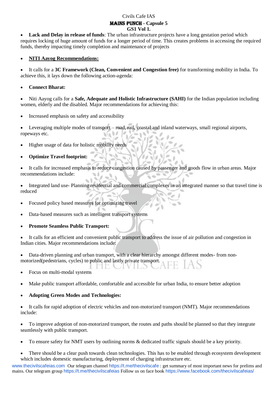**Lack and Delay in release of funds**: The urban infrastructure projects have a long gestation period which requires locking of huge amount of funds for a longer period of time. This creates problems in accessing the required funds, thereby impacting timely completion and maintenance of projects

#### **NITI Aayog Recommendations:**

 It calls for a **3C Framework (Clean, Convenient and Congestion free)** for transforming mobility in India. To achieve this, it lays down the following action-agenda:

#### **Connect Bharat:**

 Niti Aayog calls for a **Safe, Adequate and Holistic Infrastructure (SAHI)** for the Indian population including women, elderly and the disabled. Major recommendations for achieving this:

Increased emphasis on safety and accessibility

 Leveraging multiple modes of transport – road, rail, coastal and inland waterways, small regional airports, ropeways etc.  $\theta/\theta$ 

- Higher usage of data for holistic mobility needs
- **Optimize Travel footprint:**

 It calls for increased emphasis to reduce congestion caused by passenger and goods flow in urban areas. Major recommendations include:

 Integrated land use- Planning residential and commercial complexes in an integrated manner so that travel time is reduced

Focused policy based measures for optimizing travel

Data-based measures such as intelligent transport systems

**Promote Seamless Public Transport:**

 It calls for an efficient and convenient public transport to address the issue of air pollution and congestion in Indian cities. Major recommendations include:

- Data-driven planning and urban transport, with a clear hierarchy amongst different modes- from nonmotorized(pedestrians, cycles) to public and lastly private transport.
- Focus on multi-modal systems
- Make public transport affordable, comfortable and accessible for urban India, to ensure better adoption

#### **Adopting Green Modes and Technologies:**

 It calls for rapid adoption of electric vehicles and non-motorized transport (NMT). Major recommendations include:

 To improve adoption of non-motorized transport, the routes and paths should be planned so that they integrate seamlessly with public transport.

To ensure safety for NMT users by outlining norms & dedicated traffic signals should be a key priority.

 There should be a clear push towards clean technologies. This has to be enabled through ecosystem development which includes domestic manufacturing, deployment of charging infrastructure etc.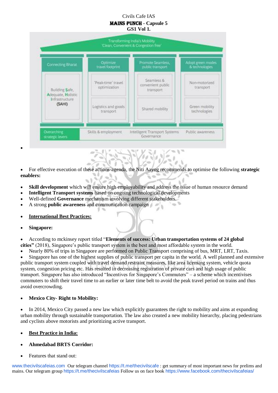

 For effective execution of these actions-agenda, the Niti Aayog recommends to optimise the following **strategic enablers:**  $\sqrt{1-\epsilon}$  $\sqrt{ }$ 

**AD** 

- **Skill development** which will ensure high employability and address the issue of human resource demand
- **Intelligent Transport systems** based on ongoing technological developments

07

- Well-defined **Governance** mechanism involving different stakeholders.
- A strong **public awareness** and communication campaign
- **International Best Practices:**
- **Singapore:**

 $\bullet$ 

 According to mckinsey report titled "**Elements of success: Urban transportation systems of 24 global cities"** (2018), Singapore's public transport system is the best and most affordable system in the world.

Nearly 80% of trips in Singapore are performed on Public Transport comprising of bus, MRT, LRT, Taxis.

 Singapore has one of the highest supplies of public transport per capita in the world. A well planned and extensive public transport system coupled with travel demand restraint measures, like area licensing system, vehicle quota system, congestion pricing etc. Has resulted in decreasing registration of private cars and high usage of public transport. Singapore has also introduced "Incentives for Singapore's Commuters" – a scheme which incentivises commuters to shift their travel time to an earlier or later time belt to avoid the peak travel period on trains and thus avoid overcrowding.

**Mexico City- Right to Mobility:**

• In 2014, Mexico City passed a new law which explicitly guarantees the right to mobility and aims at expanding urban mobility through sustainable transportation. The law also created a new mobility hierarchy, placing pedestrians and cyclists above motorists and prioritizing active transport.

#### **Best Practice in India:**

- **Ahmedabad BRTS Corridor:**
- Features that stand out: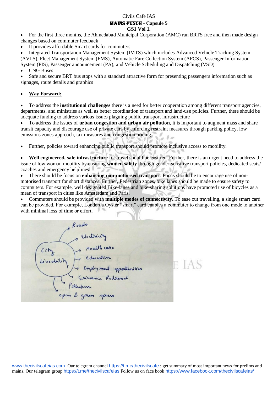#### Civils Cafe IAS

### Mains Punch **- Capsule 5**

**GS1 Vol 1.**

• For the first three months, the Ahmedabad Municipal Corporation (AMC) ran BRTS free and then made design changes based on commuter feedback

It provides affordable Smart cards for commuters

 Integrated Transportation Management System (IMTS) which includes Advanced Vehicle Tracking System (AVLS), Fleet Management System (FMS), Automatic Fare Collection System (AFCS), Passenger Information System (PIS), Passenger announcement (PA), and Vehicle Scheduling and Dispatching (VSD)

CNG Buses

 Safe and secure BRT bus stops with a standard attractive form for presenting passengers information such as signages, route details and graphics

#### **Way Forward:**

 To address the **institutional challenges** there is a need for better cooperation among different transport agencies, departments, and ministries as well as better coordination of transport and land-use policies. Further, there should be adequate funding to address various issues plaguing public transport infrastructure

 To address the issues of **urban congestion and urban air pollution**, it is important to augment mass and share transit capacity and discourage use of private cars by enforcing restraint measures through parking policy, low emissions zones approach, tax measures and congestion pricing.

Further, policies toward enhancing public transport should promote inclusive access to mobility.

 **Well engineered, safe infrastructure** for travel should be ensured. Further, there is an urgent need to address the issue of low woman mobility by ensuring **women safety** through gender-sensitive transport policies, dedicated seats/ coaches and emergency helplines.

 There should be focus on **enhancing non-motorised transport**. Focus should be to encourage use of nonmotorised transport for short distances. Further, Pedestrian zones, bike lanes should be made to ensure safety to commuters. For example, well designated Bike-lanes and bike-sharing solutions have promoted use of bicycles as a mean of transport in cities like Amsterdam and Paris.

 Commuters should be provided with **multiple modes of connectivity**. To ease out travelling, a single smart card can be provided. For example, London's Oyster "smart" card enables a commuter to change from one mode to another with minimal loss of time or effort.

Roads<br>Electricity<br>Vity J Education<br>Compley ment opportunities<br>J Collution Redriesed<br>Pollution open & green spulle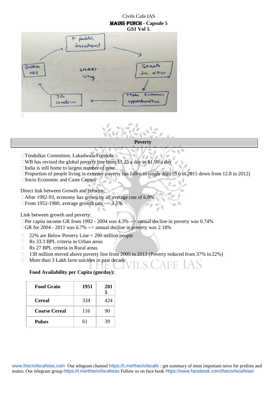### Civils Cafe IAS Mains Punch **- Capsule 5**





#### **Poverty**

- Tendulkar Committee, Lakadwala Formula
- $\Box$  WB has revised the global poverty line from \$1.25 a day to \$1.90 a day
- $\Box$  India is still home to largest number of poor
- $\Box$  Proportion of people living in extreme poverty has fallen to single digit (9.6 in 2015 down from 12.8 in 2012)
- □ Socio Economic and Caste Census

Direct link between Growth and reforms:

- After 1992-93, economy has grown by an average rate of 6.8%
- $\Box$  From 1952-1980, average growth rate --> 3.5%

Link between growth and poverty:

- Per capita income GR from 1992 2004 was 4.3% --> annual decline in poverty was 0.74%
- $\Box$  GR for 2004 2011 was 6.7% --> annual decline in poverty was 2.18%
- $\Box$ 22% are Below Poverty Line = 290 million people
- Rs 33.3 BPL criteria in Urban areas  $\Box$
- $\Box$ Rs 27 BPL criteria in Rural areas
- $\Box$ 138 million moved above poverty line from 2005 to 2013 (Poverty reduced from 37% to 22%)
- $\Box$ More than 3 Lakh farm suicides in past decade

#### **Food Availability per Capita (gm/day):**

| <b>Food Grain</b>    | 1951 | 201<br>5 |
|----------------------|------|----------|
| <b>Cereal</b>        | 334  | 424      |
| <b>Coarse Cereal</b> | 116  | 90       |
| <b>Pulses</b>        | 61   | 39       |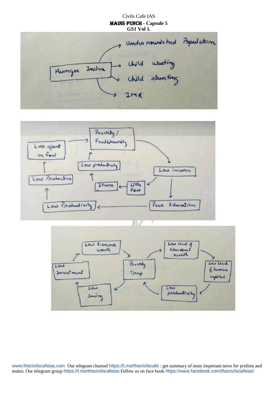# Civils Cafe IAS Mains Punch **- Capsule 5 GS1 Vol 1.** under nousis had Bpulation child whoting Hunger Index Child stunting IMR



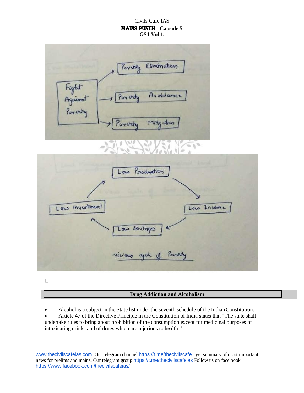

 $\Box$ 

#### **Drug Addiction and Alcoholism**

Alcohol is a subject in the State list under the seventh schedule of the IndianConstitution.

 Article 47 of the Directive Principle in the Constitution of India states that "The state shall undertake rules to bring about prohibition of the consumption except for medicinal purposes of intoxicating drinks and of drugs which are injurious to health."